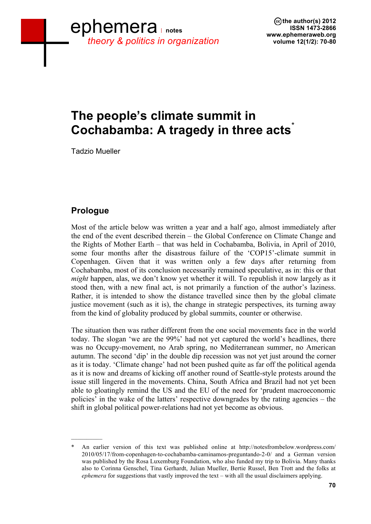# **The people's climate summit in Cochabamba: A tragedy in three acts<sup>\*</sup>**

Tadzio Mueller

# **Prologue**

 $\mathcal{L}=\mathcal{L}$ 

Most of the article below was written a year and a half ago, almost immediately after the end of the event described therein – the Global Conference on Climate Change and the Rights of Mother Earth – that was held in Cochabamba, Bolivia, in April of 2010, some four months after the disastrous failure of the 'COP15'-climate summit in Copenhagen. Given that it was written only a few days after returning from Cochabamba, most of its conclusion necessarily remained speculative, as in: this or that *might* happen, alas, we don't know yet whether it will. To republish it now largely as it stood then, with a new final act, is not primarily a function of the author's laziness. Rather, it is intended to show the distance travelled since then by the global climate justice movement (such as it is), the change in strategic perspectives, its turning away from the kind of globality produced by global summits, counter or otherwise.

The situation then was rather different from the one social movements face in the world today. The slogan 'we are the 99%' had not yet captured the world's headlines, there was no Occupy-movement, no Arab spring, no Mediterranean summer, no American autumn. The second 'dip' in the double dip recession was not yet just around the corner as it is today. 'Climate change' had not been pushed quite as far off the political agenda as it is now and dreams of kicking off another round of Seattle-style protests around the issue still lingered in the movements. China, South Africa and Brazil had not yet been able to gloatingly remind the US and the EU of the need for 'prudent macroeconomic policies' in the wake of the latters' respective downgrades by the rating agencies – the shift in global political power-relations had not yet become as obvious.

An earlier version of this text was published online at http://notesfrombelow.wordpress.com/ 2010/05/17/from-copenhagen-to-cochabamba-caminamos-preguntando-2-0/ and a German version was published by the Rosa Luxemburg Foundation, who also funded my trip to Bolivia. Many thanks also to Corinna Genschel, Tina Gerhardt, Julian Mueller, Bertie Russel, Ben Trott and the folks at *ephemera* for suggestions that vastly improved the text – with all the usual disclaimers applying.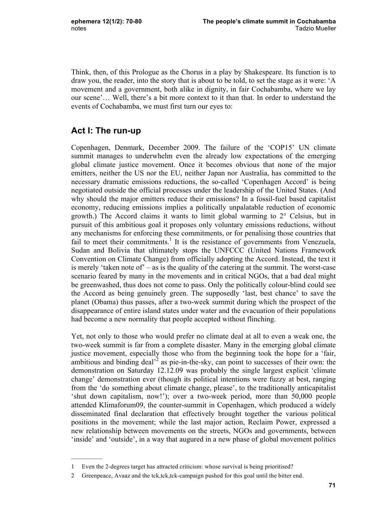Think, then, of this Prologue as the Chorus in a play by Shakespeare. Its function is to draw you, the reader, into the story that is about to be told, to set the stage as it were: 'A movement and a government, both alike in dignity, in fair Cochabamba, where we lay our scene'… Well, there's a bit more context to it than that. In order to understand the events of Cochabamba, we must first turn our eyes to:

# **Act I: The run-up**

 $\mathcal{L}$ 

Copenhagen, Denmark, December 2009. The failure of the 'COP15' UN climate summit manages to underwhelm even the already low expectations of the emerging global climate justice movement. Once it becomes obvious that none of the major emitters, neither the US nor the EU, neither Japan nor Australia, has committed to the necessary dramatic emissions reductions, the so-called 'Copenhagen Accord' is being negotiated outside the official processes under the leadership of the United States. (And why should the major emitters reduce their emissions? In a fossil-fuel based capitalist economy, reducing emissions implies a politically unpalatable reduction of economic growth.) The Accord claims it wants to limit global warming to 2° Celsius, but in pursuit of this ambitious goal it proposes only voluntary emissions reductions, without any mechanisms for enforcing these commitments, or for penalising those countries that fail to meet their commitments.<sup>1</sup> It is the resistance of governments from Venezuela, Sudan and Bolivia that ultimately stops the UNFCCC (United Nations Framework Convention on Climate Change) from officially adopting the Accord. Instead, the text it is merely 'taken note of' – as is the quality of the catering at the summit. The worst-case scenario feared by many in the movements and in critical NGOs, that a bad deal might be greenwashed, thus does not come to pass. Only the politically colour-blind could see the Accord as being genuinely green. The supposedly 'last, best chance' to save the planet (Obama) thus passes, after a two-week summit during which the prospect of the disappearance of entire island states under water and the evacuation of their populations had become a new normality that people accepted without flinching.

Yet, not only to those who would prefer no climate deal at all to even a weak one, the two-week summit is far from a complete disaster. Many in the emerging global climate justice movement, especially those who from the beginning took the hope for a 'fair, ambitious and binding deal<sup> $2$ </sup> as pie-in-the-sky, can point to successes of their own: the demonstration on Saturday 12.12.09 was probably the single largest explicit 'climate change' demonstration ever (though its political intentions were fuzzy at best, ranging from the 'do something about climate change, please', to the traditionally anticapitalist 'shut down capitalism, now!'); over a two-week period, more than 50,000 people attended Klimaforum09, the counter-summit in Copenhagen, which produced a widely disseminated final declaration that effectively brought together the various political positions in the movement; while the last major action, Reclaim Power, expressed a new relationship between movements on the streets, NGOs and governments, between 'inside' and 'outside', in a way that augured in a new phase of global movement politics

<sup>1</sup> Even the 2-degrees target has attracted criticism: whose survival is being prioritised?

<sup>2</sup> Greenpeace, Avaaz and the tck,tck,tck-campaign pushed for this goal until the bitter end.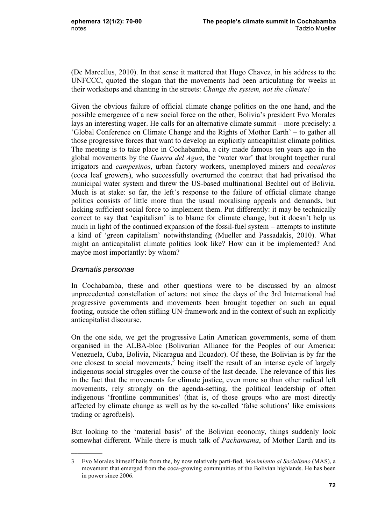(De Marcellus, 2010). In that sense it mattered that Hugo Chavez, in his address to the UNFCCC, quoted the slogan that the movements had been articulating for weeks in their workshops and chanting in the streets: *Change the system, not the climate!*

Given the obvious failure of official climate change politics on the one hand, and the possible emergence of a new social force on the other, Bolivia's president Evo Morales lays an interesting wager. He calls for an alternative climate summit – more precisely: a 'Global Conference on Climate Change and the Rights of Mother Earth' – to gather all those progressive forces that want to develop an explicitly anticapitalist climate politics. The meeting is to take place in Cochabamba, a city made famous ten years ago in the global movements by the *Guerra del Agua*, the 'water war' that brought together rural irrigators and *campesinos*, urban factory workers, unemployed miners and *cocaleros*  (coca leaf growers), who successfully overturned the contract that had privatised the municipal water system and threw the US-based multinational Bechtel out of Bolivia. Much is at stake: so far, the left's response to the failure of official climate change politics consists of little more than the usual moralising appeals and demands, but lacking sufficient social force to implement them. Put differently: it may be technically correct to say that 'capitalism' is to blame for climate change, but it doesn't help us much in light of the continued expansion of the fossil-fuel system – attempts to institute a kind of 'green capitalism' notwithstanding (Mueller and Passadakis, 2010). What might an anticapitalist climate politics look like? How can it be implemented? And maybe most importantly: by whom?

#### *Dramatis personae*

 $\frac{1}{2}$ 

In Cochabamba, these and other questions were to be discussed by an almost unprecedented constellation of actors: not since the days of the 3rd International had progressive governments and movements been brought together on such an equal footing, outside the often stifling UN-framework and in the context of such an explicitly anticapitalist discourse.

On the one side, we get the progressive Latin American governments, some of them organised in the ALBA-bloc (Bolivarian Alliance for the Peoples of our America: Venezuela, Cuba, Bolivia, Nicaragua and Ecuador). Of these, the Bolivian is by far the one closest to social movements, $3$  being itself the result of an intense cycle of largely indigenous social struggles over the course of the last decade. The relevance of this lies in the fact that the movements for climate justice, even more so than other radical left movements, rely strongly on the agenda-setting, the political leadership of often indigenous 'frontline communities' (that is, of those groups who are most directly affected by climate change as well as by the so-called 'false solutions' like emissions trading or agrofuels).

But looking to the 'material basis' of the Bolivian economy, things suddenly look somewhat different. While there is much talk of *Pachamama*, of Mother Earth and its

<sup>3</sup> Evo Morales himself hails from the, by now relatively parti-fied, *Movimiento al Socialismo* (MAS), a movement that emerged from the coca-growing communities of the Bolivian highlands. He has been in power since 2006.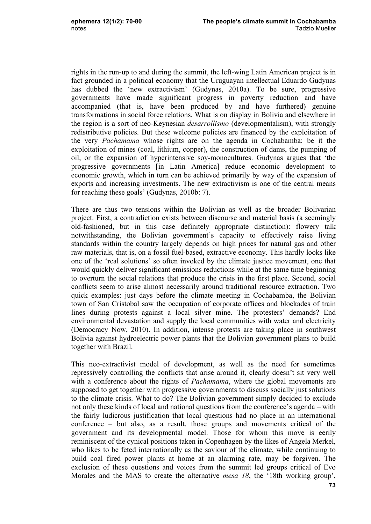rights in the run-up to and during the summit, the left-wing Latin American project is in fact grounded in a political economy that the Uruguayan intellectual Eduardo Gudynas has dubbed the 'new extractivism' (Gudynas, 2010a). To be sure, progressive governments have made significant progress in poverty reduction and have accompanied (that is, have been produced by and have furthered) genuine transformations in social force relations. What is on display in Bolivia and elsewhere in the region is a sort of neo-Keynesian *desarrollismo* (developmentalism), with strongly redistributive policies. But these welcome policies are financed by the exploitation of the very *Pachamama* whose rights are on the agenda in Cochabamba: be it the exploitation of mines (coal, lithium, copper), the construction of dams, the pumping of oil, or the expansion of hyperintensive soy-monocultures. Gudynas argues that 'the progressive governments [in Latin America] reduce economic development to economic growth, which in turn can be achieved primarily by way of the expansion of exports and increasing investments. The new extractivism is one of the central means for reaching these goals' (Gudynas, 2010b: 7).

There are thus two tensions within the Bolivian as well as the broader Bolivarian project. First, a contradiction exists between discourse and material basis (a seemingly old-fashioned, but in this case definitely appropriate distinction): flowery talk notwithstanding, the Bolivian government's capacity to effectively raise living standards within the country largely depends on high prices for natural gas and other raw materials, that is, on a fossil fuel-based, extractive economy. This hardly looks like one of the 'real solutions' so often invoked by the climate justice movement, one that would quickly deliver significant emissions reductions while at the same time beginning to overturn the social relations that produce the crisis in the first place. Second, social conflicts seem to arise almost necessarily around traditional resource extraction. Two quick examples: just days before the climate meeting in Cochabamba, the Bolivian town of San Cristobal saw the occupation of corporate offices and blockades of train lines during protests against a local silver mine. The protesters' demands? End environmental devastation and supply the local communities with water and electricity (Democracy Now, 2010). In addition, intense protests are taking place in southwest Bolivia against hydroelectric power plants that the Bolivian government plans to build together with Brazil.

This neo-extractivist model of development, as well as the need for sometimes repressively controlling the conflicts that arise around it, clearly doesn't sit very well with a conference about the rights of *Pachamama*, where the global movements are supposed to get together with progressive governments to discuss socially just solutions to the climate crisis. What to do? The Bolivian government simply decided to exclude not only these kinds of local and national questions from the conference's agenda – with the fairly ludicrous justification that local questions had no place in an international conference – but also, as a result, those groups and movements critical of the government and its developmental model. Those for whom this move is eerily reminiscent of the cynical positions taken in Copenhagen by the likes of Angela Merkel, who likes to be feted internationally as the saviour of the climate, while continuing to build coal fired power plants at home at an alarming rate, may be forgiven. The exclusion of these questions and voices from the summit led groups critical of Evo Morales and the MAS to create the alternative *mesa 18*, the '18th working group',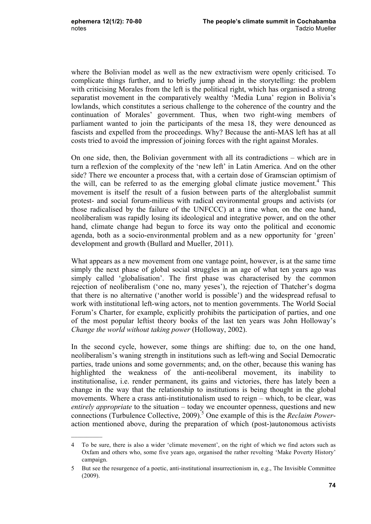$\mathcal{L}$ 

where the Bolivian model as well as the new extractivism were openly criticised. To complicate things further, and to briefly jump ahead in the storytelling: the problem with criticising Morales from the left is the political right, which has organised a strong separatist movement in the comparatively wealthy 'Media Luna' region in Bolivia's lowlands, which constitutes a serious challenge to the coherence of the country and the continuation of Morales' government. Thus, when two right-wing members of parliament wanted to join the participants of the mesa 18, they were denounced as fascists and expelled from the proceedings. Why? Because the anti-MAS left has at all costs tried to avoid the impression of joining forces with the right against Morales.

On one side, then, the Bolivian government with all its contradictions – which are in turn a reflexion of the complexity of the 'new left' in Latin America. And on the other side? There we encounter a process that, with a certain dose of Gramscian optimism of the will, can be referred to as the emerging global climate justice movement.<sup>4</sup> This movement is itself the result of a fusion between parts of the alterglobalist summit protest- and social forum-milieus with radical environmental groups and activists (or those radicalised by the failure of the UNFCCC) at a time when, on the one hand, neoliberalism was rapidly losing its ideological and integrative power, and on the other hand, climate change had begun to force its way onto the political and economic agenda, both as a socio-environmental problem and as a new opportunity for 'green' development and growth (Bullard and Mueller, 2011).

What appears as a new movement from one vantage point, however, is at the same time simply the next phase of global social struggles in an age of what ten years ago was simply called 'globalisation'. The first phase was characterised by the common rejection of neoliberalism ('one no, many yeses'), the rejection of Thatcher's dogma that there is no alternative ('another world is possible') and the widespread refusal to work with institutional left-wing actors, not to mention governments. The World Social Forum's Charter, for example, explicitly prohibits the participation of parties, and one of the most popular leftist theory books of the last ten years was John Holloway's *Change the world without taking power* (Holloway, 2002).

In the second cycle, however, some things are shifting: due to, on the one hand, neoliberalism's waning strength in institutions such as left-wing and Social Democratic parties, trade unions and some governments; and, on the other, because this waning has highlighted the weakness of the anti-neoliberal movement, its inability to institutionalise, i.e. render permanent, its gains and victories, there has lately been a change in the way that the relationship to institutions is being thought in the global movements. Where a crass anti-institutionalism used to reign – which, to be clear, was *entirely appropriate* to the situation – today we encounter openness, questions and new connections (Turbulence Collective, 2009).<sup>5</sup> One example of this is the *Reclaim Power*action mentioned above, during the preparation of which (post-)autonomous activists

<sup>4</sup> To be sure, there is also a wider 'climate movement', on the right of which we find actors such as Oxfam and others who, some five years ago, organised the rather revolting 'Make Poverty History' campaign.

<sup>5</sup> But see the resurgence of a poetic, anti-institutional insurrectionism in, e.g., The Invisible Committee (2009).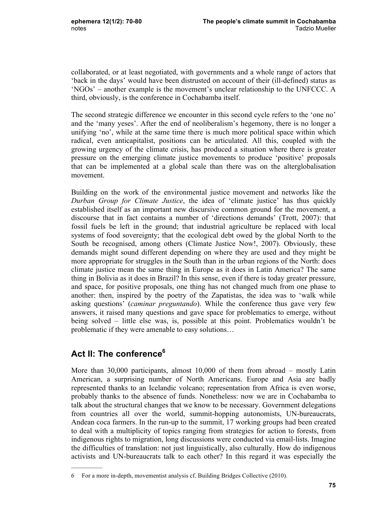collaborated, or at least negotiated, with governments and a whole range of actors that 'back in the days' would have been distrusted on account of their (ill-defined) status as 'NGOs' – another example is the movement's unclear relationship to the UNFCCC. A third, obviously, is the conference in Cochabamba itself.

The second strategic difference we encounter in this second cycle refers to the 'one no' and the 'many yeses'. After the end of neoliberalism's hegemony, there is no longer a unifying 'no', while at the same time there is much more political space within which radical, even anticapitalist, positions can be articulated. All this, coupled with the growing urgency of the climate crisis, has produced a situation where there is greater pressure on the emerging climate justice movements to produce 'positive' proposals that can be implemented at a global scale than there was on the alterglobalisation movement.

Building on the work of the environmental justice movement and networks like the *Durban Group for Climate Justice*, the idea of 'climate justice' has thus quickly established itself as an important new discursive common ground for the movement, a discourse that in fact contains a number of 'directions demands' (Trott, 2007): that fossil fuels be left in the ground; that industrial agriculture be replaced with local systems of food sovereignty; that the ecological debt owed by the global North to the South be recognised, among others (Climate Justice Now!, 2007). Obviously, these demands might sound different depending on where they are used and they might be more appropriate for struggles in the South than in the urban regions of the North: does climate justice mean the same thing in Europe as it does in Latin America? The same thing in Bolivia as it does in Brazil? In this sense, even if there is today greater pressure, and space, for positive proposals, one thing has not changed much from one phase to another: then, inspired by the poetry of the Zapatistas, the idea was to 'walk while asking questions' (*caminar preguntando*). While the conference thus gave very few answers, it raised many questions and gave space for problematics to emerge, without being solved – little else was, is, possible at this point. Problematics wouldn't be problematic if they were amenable to easy solutions…

## Act II: The conference<sup>6</sup>

 $\mathcal{L}=\mathcal{L}$ 

More than 30,000 participants, almost 10,000 of them from abroad – mostly Latin American, a surprising number of North Americans. Europe and Asia are badly represented thanks to an Icelandic volcano; representation from Africa is even worse, probably thanks to the absence of funds. Nonetheless: now we are in Cochabamba to talk about the structural changes that we know to be necessary. Government delegations from countries all over the world, summit-hopping autonomists, UN-bureaucrats, Andean coca farmers. In the run-up to the summit, 17 working groups had been created to deal with a multiplicity of topics ranging from strategies for action to forests, from indigenous rights to migration, long discussions were conducted via email-lists. Imagine the difficulties of translation: not just linguistically, also culturally. How do indigenous activists and UN-bureaucrats talk to each other? In this regard it was especially the

<sup>6</sup> For a more in-depth, movementist analysis cf. Building Bridges Collective (2010).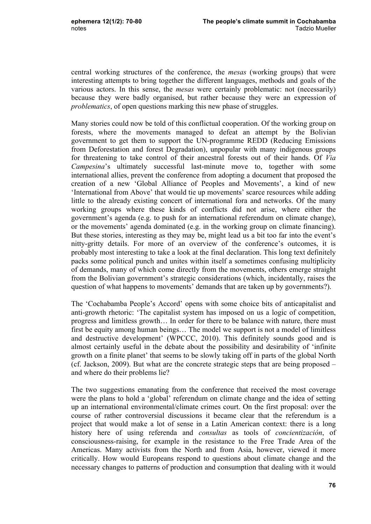central working structures of the conference, the *mesas* (working groups) that were interesting attempts to bring together the different languages, methods and goals of the various actors. In this sense, the *mesas* were certainly problematic: not (necessarily) because they were badly organised, but rather because they were an expression of *problematics*, of open questions marking this new phase of struggles.

Many stories could now be told of this conflictual cooperation. Of the working group on forests, where the movements managed to defeat an attempt by the Bolivian government to get them to support the UN-programme REDD (Reducing Emissions from Deforestation and forest Degradation), unpopular with many indigenous groups for threatening to take control of their ancestral forests out of their hands. Of *Via Campesina*'s ultimately successful last-minute move to, together with some international allies, prevent the conference from adopting a document that proposed the creation of a new 'Global Alliance of Peoples and Movements', a kind of new 'International from Above' that would tie up movements' scarce resources while adding little to the already existing concert of international fora and networks. Of the many working groups where these kinds of conflicts did not arise, where either the government's agenda (e.g. to push for an international referendum on climate change), or the movements' agenda dominated (e.g. in the working group on climate financing). But these stories, interesting as they may be, might lead us a bit too far into the event's nitty-gritty details. For more of an overview of the conference's outcomes, it is probably most interesting to take a look at the final declaration. This long text definitely packs some political punch and unites within itself a sometimes confusing multiplicity of demands, many of which come directly from the movements, others emerge straight from the Bolivian government's strategic considerations (which, incidentally, raises the question of what happens to movements' demands that are taken up by governments?).

The 'Cochabamba People's Accord' opens with some choice bits of anticapitalist and anti-growth rhetoric: 'The capitalist system has imposed on us a logic of competition, progress and limitless growth… In order for there to be balance with nature, there must first be equity among human beings… The model we support is not a model of limitless and destructive development' (WPCCC, 2010). This definitely sounds good and is almost certainly useful in the debate about the possibility and desirability of 'infinite growth on a finite planet' that seems to be slowly taking off in parts of the global North (cf. Jackson, 2009). But what are the concrete strategic steps that are being proposed – and where do their problems lie?

The two suggestions emanating from the conference that received the most coverage were the plans to hold a 'global' referendum on climate change and the idea of setting up an international environmental/climate crimes court. On the first proposal: over the course of rather controversial discussions it became clear that the referendum is a project that would make a lot of sense in a Latin American context: there is a long history here of using referenda and *consultas* as tools of *concientización*, of consciousness-raising, for example in the resistance to the Free Trade Area of the Americas. Many activists from the North and from Asia, however, viewed it more critically. How would Europeans respond to questions about climate change and the necessary changes to patterns of production and consumption that dealing with it would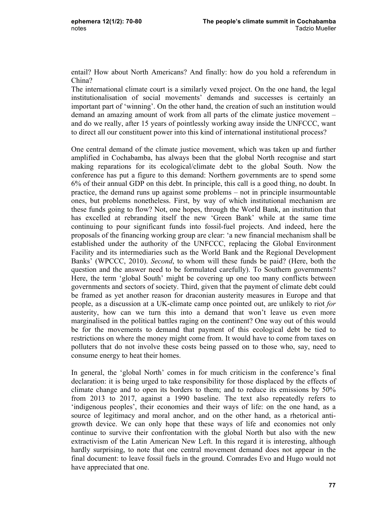entail? How about North Americans? And finally: how do you hold a referendum in China?

The international climate court is a similarly vexed project. On the one hand, the legal institutionalisation of social movements' demands and successes is certainly an important part of 'winning'. On the other hand, the creation of such an institution would demand an amazing amount of work from all parts of the climate justice movement – and do we really, after 15 years of pointlessly working away inside the UNFCCC, want to direct all our constituent power into this kind of international institutional process?

One central demand of the climate justice movement, which was taken up and further amplified in Cochabamba, has always been that the global North recognise and start making reparations for its ecological/climate debt to the global South. Now the conference has put a figure to this demand: Northern governments are to spend some 6% of their annual GDP on this debt. In principle, this call is a good thing, no doubt. In practice, the demand runs up against some problems – not in principle insurmountable ones, but problems nonetheless. First, by way of which institutional mechanism are these funds going to flow? Not, one hopes, through the World Bank, an institution that has excelled at rebranding itself the new 'Green Bank' while at the same time continuing to pour significant funds into fossil-fuel projects. And indeed, here the proposals of the financing working group are clear: 'a new financial mechanism shall be established under the authority of the UNFCCC, replacing the Global Environment Facility and its intermediaries such as the World Bank and the Regional Development Banks' (WPCCC, 2010). *Second*, to whom will these funds be paid? (Here, both the question and the answer need to be formulated carefully). To Southern governments? Here, the term 'global South' might be covering up one too many conflicts between governments and sectors of society. Third, given that the payment of climate debt could be framed as yet another reason for draconian austerity measures in Europe and that people, as a discussion at a UK-climate camp once pointed out, are unlikely to riot *for*  austerity, how can we turn this into a demand that won't leave us even more marginalised in the political battles raging on the continent? One way out of this would be for the movements to demand that payment of this ecological debt be tied to restrictions on where the money might come from. It would have to come from taxes on polluters that do not involve these costs being passed on to those who, say, need to consume energy to heat their homes.

In general, the 'global North' comes in for much criticism in the conference's final declaration: it is being urged to take responsibility for those displaced by the effects of climate change and to open its borders to them; and to reduce its emissions by 50% from 2013 to 2017, against a 1990 baseline. The text also repeatedly refers to 'indigenous peoples', their economies and their ways of life: on the one hand, as a source of legitimacy and moral anchor, and on the other hand, as a rhetorical antigrowth device. We can only hope that these ways of life and economies not only continue to survive their confrontation with the global North but also with the new extractivism of the Latin American New Left. In this regard it is interesting, although hardly surprising, to note that one central movement demand does not appear in the final document: to leave fossil fuels in the ground. Comrades Evo and Hugo would not have appreciated that one.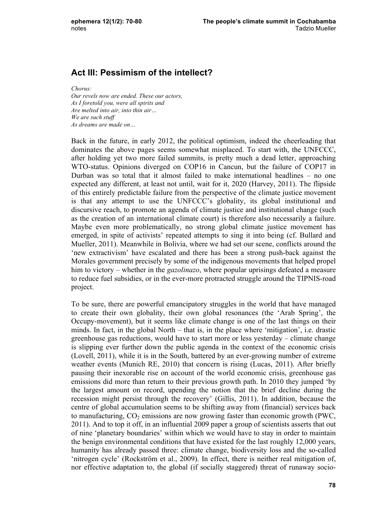## **Act III: Pessimism of the intellect?**

*Chorus:*

*Our revels now are ended. These our actors, As I foretold you, were all spirits and Are melted into air, into thin air… We are such stuff As dreams are made on…* 

Back in the future, in early 2012, the political optimism, indeed the cheerleading that dominates the above pages seems somewhat misplaced. To start with, the UNFCCC, after holding yet two more failed summits, is pretty much a dead letter, approaching WTO-status. Opinions diverged on COP16 in Cancun, but the failure of COP17 in Durban was so total that it almost failed to make international headlines – no one expected any different, at least not until, wait for it, 2020 (Harvey, 2011). The flipside of this entirely predictable failure from the perspective of the climate justice movement is that any attempt to use the UNFCCC's globality, its global institutional and discursive reach, to promote an agenda of climate justice and institutional change (such as the creation of an international climate court) is therefore also necessarily a failure. Maybe even more problematically, no strong global climate justice movement has emerged, in spite of activists' repeated attempts to sing it into being (cf. Bullard and Mueller, 2011). Meanwhile in Bolivia, where we had set our scene, conflicts around the 'new extractivism' have escalated and there has been a strong push-back against the Morales government precisely by some of the indigenous movements that helped propel him to victory – whether in the *gazolinazo*, where popular uprisings defeated a measure to reduce fuel subsidies, or in the ever-more protracted struggle around the TIPNIS-road project.

To be sure, there are powerful emancipatory struggles in the world that have managed to create their own globality, their own global resonances (the 'Arab Spring', the Occupy-movement), but it seems like climate change is one of the last things on their minds. In fact, in the global North – that is, in the place where 'mitigation', i.e. drastic greenhouse gas reductions, would have to start more or less yesterday – climate change is slipping ever further down the public agenda in the context of the economic crisis (Lovell, 2011), while it is in the South, battered by an ever-growing number of extreme weather events (Munich RE, 2010) that concern is rising (Lucas, 2011). After briefly pausing their inexorable rise on account of the world economic crisis, greenhouse gas emissions did more than return to their previous growth path. In 2010 they jumped 'by the largest amount on record, upending the notion that the brief decline during the recession might persist through the recovery' (Gillis, 2011). In addition, because the centre of global accumulation seems to be shifting away from (financial) services back to manufacturing,  $CO_2$  emissions are now growing faster than economic growth (PWC, 2011). And to top it off, in an influential 2009 paper a group of scientists asserts that out of nine 'planetary boundaries' within which we would have to stay in order to maintain the benign environmental conditions that have existed for the last roughly 12,000 years, humanity has already passed three: climate change, biodiversity loss and the so-called 'nitrogen cycle' (Rockström et al., 2009). In effect, there is neither real mitigation of, nor effective adaptation to, the global (if socially staggered) threat of runaway socio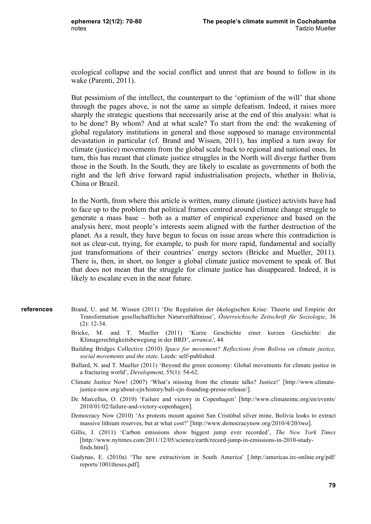ecological collapse and the social conflict and unrest that are bound to follow in its wake (Parenti, 2011).

But pessimism of the intellect, the counterpart to the 'optimism of the will' that shone through the pages above, is not the same as simple defeatism. Indeed, it raises more sharply the strategic questions that necessarily arise at the end of this analysis: what is to be done? By whom? And at what scale? To start from the end: the weakening of global regulatory institutions in general and those supposed to manage environmental devastation in particular (cf. Brand and Wissen, 2011), has implied a turn away for climate (justice) movements from the global scale back to regional and national ones. In turn, this has meant that climate justice struggles in the North will diverge further from those in the South. In the South, they are likely to escalate as governments of both the right and the left drive forward rapid industrialisation projects, whether in Bolivia, China or Brazil.

In the North, from where this article is written, many climate (justice) activists have had to face up to the problem that political frames centred around climate change struggle to generate a mass base – both as a matter of empirical experience and based on the analysis here, most people's interests seem aligned with the further destruction of the planet. As a result, they have begun to focus on issue areas where this contradiction is not as clear-cut, trying, for example, to push for more rapid, fundamental and socially just transformations of their countries' energy sectors (Bricke and Mueller, 2011). There is, then, in short, no longer a global climate justice movement to speak of. But that does not mean that the struggle for climate justice has disappeared. Indeed, it is likely to escalate even in the near future.

- Brand, U. and M. Wissen (2011) 'Die Regulation der ökologischen Krise: Theorie und Empirie der Transformation gesellschaftlicher Naturverhältnisse', *Österreichische Zeitschrift für Soziologie*, 36 (2): 12-34. **references**
	- Bricke, M. and T. Mueller (2011) 'Kurze Geschichte einer kurzen Geschichte: die Klimagerechtigkeitsbewegung in der BRD', *arranca!*, 44.
	- Building Bridges Collective (2010) *Space for movement? Reflections from Bolivia on climate justice, social movements and the state*. Leeds: self-published.
	- Bullard, N. and T. Mueller (2011) 'Beyond the green economy: Global movements for climate justice in a fracturing world', *Development*, 55(1): 54-62.
	- Climate Justice Now! (2007) 'What's missing from the climate talks? Justice!' [http://www.climatejustice-now.org/about-cjn/history/bali-cjn-founding-presse-release/].
	- De Marcellus, O. (2010) 'Failure and victory in Copenhagen' [http://www.climateimc.org/en/events/ 2010/01/02/failure-and-victory-copenhagen].
	- Democracy Now (2010) 'As protests mount against San Cristóbal silver mine, Bolivia looks to extract massive lithium reserves, but at what cost?' [http://www.democracynow.org/2010/4/20/two].
	- Gillis, J. (2011) 'Carbon emissions show biggest jump ever recorded', *The New York Times* [http://www.nytimes.com/2011/12/05/science/earth/record-jump-in-emissions-in-2010-studyfinds.html].
	- Gudynas, E. (2010a) 'The new extractivism in South America' [.http://americas.irc-online.org/pdf/ reports/1001theses.pdf].